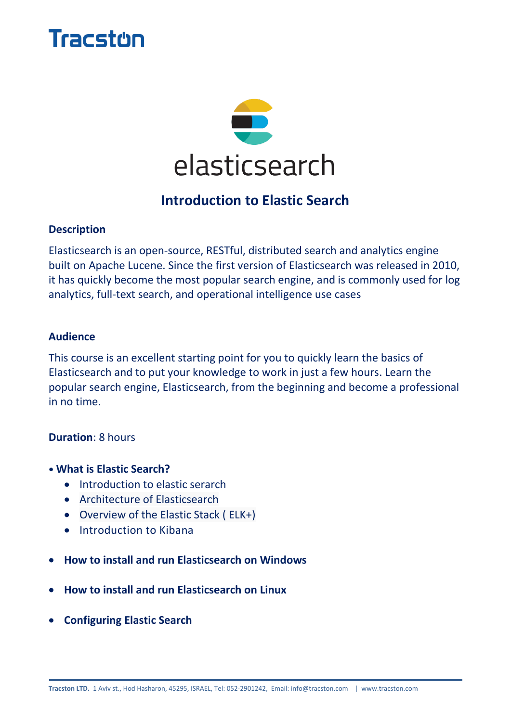# Tracston



### **Introduction to Elastic Search**

#### **Description**

Elasticsearch is an open-source, RESTful, distributed search and analytics engine built on Apache Lucene. Since the first version of Elasticsearch was released in 2010, it has quickly become the most popular search engine, and is commonly used for log analytics, full-text search, and operational intelligence use cases

#### **Audience**

This course is an excellent starting point for you to quickly learn the basics of Elasticsearch and to put your knowledge to work in just a few hours. Learn the popular search engine, Elasticsearch, from the beginning and become a professional in no time.

#### **Duration**: 8 hours

- **What is Elastic Search?**
	- Introduction to elastic serarch
	- Architecture of Elasticsearch
	- Overview of the Elastic Stack ( ELK+)
	- Introduction to Kibana
- **How to install and run Elasticsearch on Windows**
- **How to install and run Elasticsearch on Linux**
- **Configuring Elastic Search**